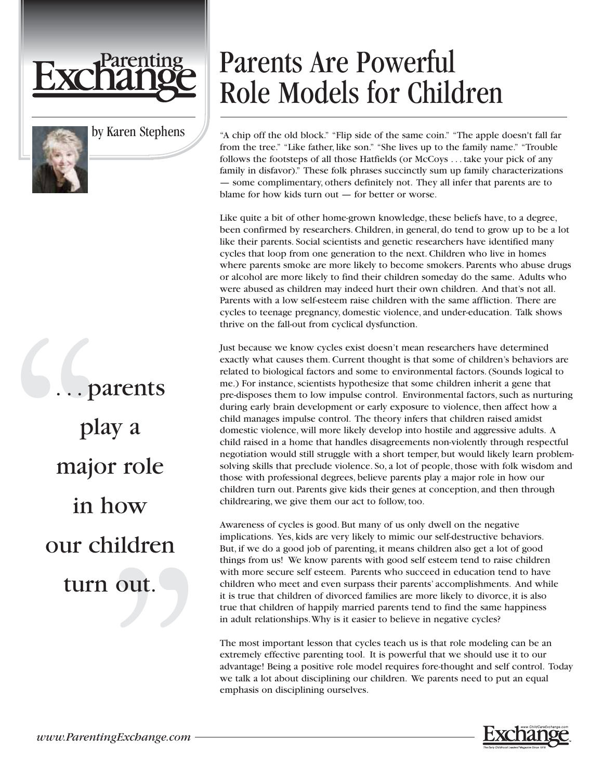



by Karen Stephens

. . . parents play a major role in how our children turn out.

## Parents Are Powerful Role Models for Children

"A chip off the old block." "Flip side of the same coin." "The apple doesn't fall far from the tree." "Like father, like son." "She lives up to the family name." "Trouble follows the footsteps of all those Hatfields (or McCoys . . . take your pick of any family in disfavor)." These folk phrases succinctly sum up family characterizations — some complimentary, others definitely not. They all infer that parents are to blame for how kids turn out — for better or worse.

Like quite a bit of other home-grown knowledge, these beliefs have, to a degree, been confirmed by researchers. Children, in general, do tend to grow up to be a lot like their parents. Social scientists and genetic researchers have identified many cycles that loop from one generation to the next. Children who live in homes where parents smoke are more likely to become smokers. Parents who abuse drugs or alcohol are more likely to find their children someday do the same. Adults who were abused as children may indeed hurt their own children. And that's not all. Parents with a low self-esteem raise children with the same affliction. There are cycles to teenage pregnancy, domestic violence, and under-education. Talk shows thrive on the fall-out from cyclical dysfunction.

Just because we know cycles exist doesn't mean researchers have determined exactly what causes them. Current thought is that some of children's behaviors are related to biological factors and some to environmental factors. (Sounds logical to me.) For instance, scientists hypothesize that some children inherit a gene that pre-disposes them to low impulse control. Environmental factors, such as nurturing during early brain development or early exposure to violence, then affect how a child manages impulse control. The theory infers that children raised amidst domestic violence, will more likely develop into hostile and aggressive adults. A child raised in a home that handles disagreements non-violently through respectful negotiation would still struggle with a short temper, but would likely learn problemsolving skills that preclude violence. So, a lot of people, those with folk wisdom and those with professional degrees, believe parents play a major role in how our children turn out. Parents give kids their genes at conception, and then through childrearing, we give them our act to follow, too.

Awareness of cycles is good. But many of us only dwell on the negative implications. Yes, kids are very likely to mimic our self-destructive behaviors. But, if we do a good job of parenting, it means children also get a lot of good things from us! We know parents with good self esteem tend to raise children with more secure self esteem. Parents who succeed in education tend to have children who meet and even surpass their parents' accomplishments. And while it is true that children of divorced families are more likely to divorce, it is also true that children of happily married parents tend to find the same happiness in adult relationships.Why is it easier to believe in negative cycles?

The most important lesson that cycles teach us is that role modeling can be an extremely effective parenting tool. It is powerful that we should use it to our advantage! Being a positive role model requires fore-thought and self control. Today we talk a lot about disciplining our children. We parents need to put an equal emphasis on disciplining ourselves.